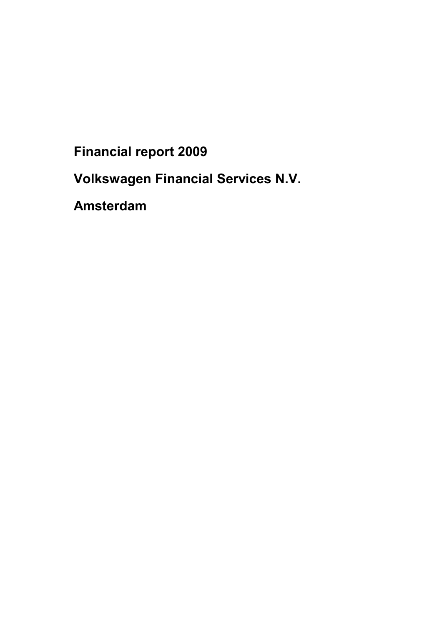**Financial report 2009**

**Volkswagen Financial Services N.V.**

**Amsterdam**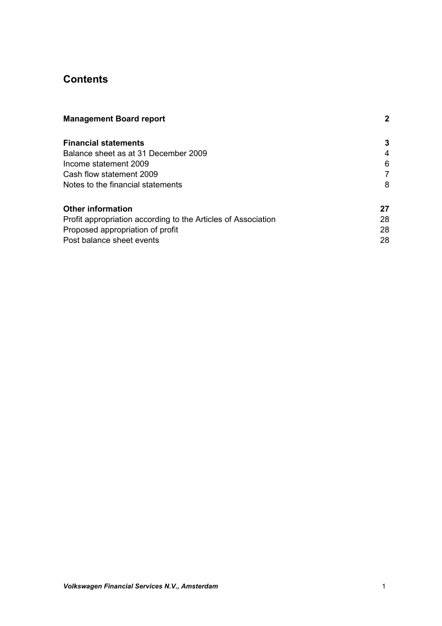# **Contents**

| <b>Management Board report</b>                                |    |
|---------------------------------------------------------------|----|
| <b>Financial statements</b>                                   | 3  |
| Balance sheet as at 31 December 2009                          | 4  |
| Income statement 2009                                         | 6  |
| Cash flow statement 2009                                      |    |
| Notes to the financial statements                             | 8  |
| <b>Other information</b>                                      | 27 |
| Profit appropriation according to the Articles of Association | 28 |
| Proposed appropriation of profit                              | 28 |
| Post balance sheet events                                     | 28 |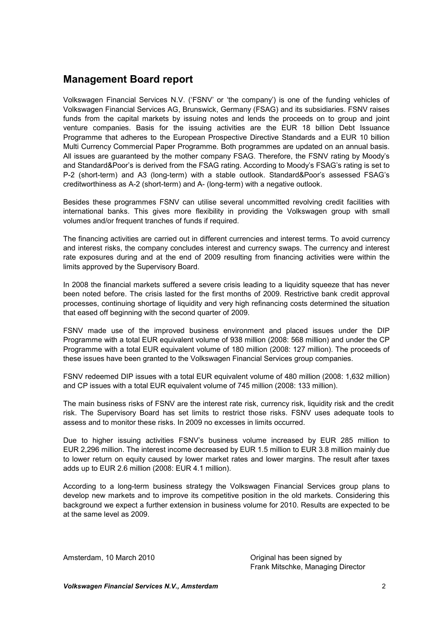# **Management Board report**

Volkswagen Financial Services N.V. ('FSNV' or 'the company') is one of the funding vehicles of Volkswagen Financial Services AG, Brunswick, Germany (FSAG) and its subsidiaries. FSNV raises funds from the capital markets by issuing notes and lends the proceeds on to group and joint venture companies. Basis for the issuing activities are the EUR 18 billion Debt Issuance Programme that adheres to the European Prospective Directive Standards and a EUR 10 billion Multi Currency Commercial Paper Programme. Both programmes are updated on an annual basis. All issues are guaranteed by the mother company FSAG. Therefore, the FSNV rating by Moody's and Standard&Poor's is derived from the FSAG rating. According to Moody's FSAG's rating is set to P-2 (short-term) and A3 (long-term) with a stable outlook. Standard&Poor's assessed FSAG's creditworthiness as A-2 (short-term) and A- (long-term) with a negative outlook.

Besides these programmes FSNV can utilise several uncommitted revolving credit facilities with international banks. This gives more flexibility in providing the Volkswagen group with small volumes and/or frequent tranches of funds if required.

The financing activities are carried out in different currencies and interest terms. To avoid currency and interest risks, the company concludes interest and currency swaps. The currency and interest rate exposures during and at the end of 2009 resulting from financing activities were within the limits approved by the Supervisory Board.

In 2008 the financial markets suffered a severe crisis leading to a liquidity squeeze that has never been noted before. The crisis lasted for the first months of 2009. Restrictive bank credit approval processes, continuing shortage of liquidity and very high refinancing costs determined the situation that eased off beginning with the second quarter of 2009.

FSNV made use of the improved business environment and placed issues under the DIP Programme with a total EUR equivalent volume of 938 million (2008: 568 million) and under the CP Programme with a total EUR equivalent volume of 180 million (2008: 127 million). The proceeds of these issues have been granted to the Volkswagen Financial Services group companies.

FSNV redeemed DIP issues with a total EUR equivalent volume of 480 million (2008: 1,632 million) and CP issues with a total EUR equivalent volume of 745 million (2008: 133 million).

The main business risks of FSNV are the interest rate risk, currency risk, liquidity risk and the credit risk. The Supervisory Board has set limits to restrict those risks. FSNV uses adequate tools to assess and to monitor these risks. In 2009 no excesses in limits occurred.

Due to higher issuing activities FSNV's business volume increased by EUR 285 million to EUR 2,296 million. The interest income decreased by EUR 1.5 million to EUR 3.8 million mainly due to lower return on equity caused by lower market rates and lower margins. The result after taxes adds up to EUR 2.6 million (2008: EUR 4.1 million).

According to a long-term business strategy the Volkswagen Financial Services group plans to develop new markets and to improve its competitive position in the old markets. Considering this background we expect a further extension in business volume for 2010. Results are expected to be at the same level as 2009.

Amsterdam, 10 March 2010 **Communist Communist Communist Communist Communist Communist Communist Communist Communist Communist Communist Communist Communist Communist Communist Communist Communist Communist Communist Commun** 

Frank Mitschke, Managing Director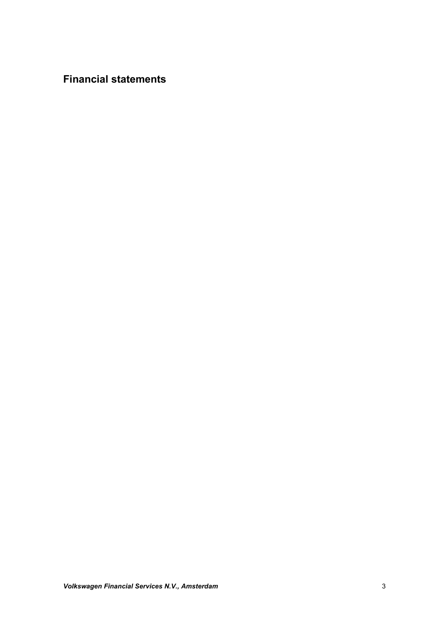**Financial statements**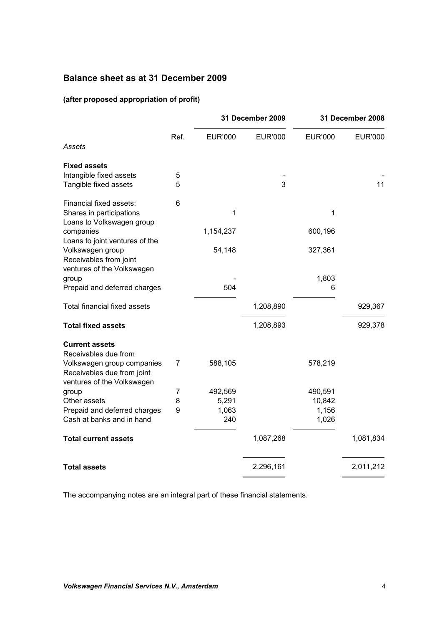# **Balance sheet as at 31 December 2009**

### **(after proposed appropriation of profit)**

|                                                          |        |                | 31 December 2009 |                | 31 December 2008 |
|----------------------------------------------------------|--------|----------------|------------------|----------------|------------------|
| Assets                                                   | Ref.   | <b>EUR'000</b> | <b>EUR'000</b>   | <b>EUR'000</b> | <b>EUR'000</b>   |
|                                                          |        |                |                  |                |                  |
| <b>Fixed assets</b>                                      |        |                |                  |                |                  |
| Intangible fixed assets<br>Tangible fixed assets         | 5<br>5 |                | 3                |                | 11               |
|                                                          |        |                |                  |                |                  |
| Financial fixed assets:                                  | 6      |                |                  |                |                  |
| Shares in participations<br>Loans to Volkswagen group    |        | 1              |                  | 1              |                  |
| companies                                                |        | 1,154,237      |                  | 600,196        |                  |
| Loans to joint ventures of the                           |        |                |                  |                |                  |
| Volkswagen group                                         |        | 54,148         |                  | 327,361        |                  |
| Receivables from joint<br>ventures of the Volkswagen     |        |                |                  |                |                  |
| group                                                    |        |                |                  | 1,803          |                  |
| Prepaid and deferred charges                             |        | 504            |                  | 6              |                  |
|                                                          |        |                |                  |                |                  |
| <b>Total financial fixed assets</b>                      |        |                | 1,208,890        |                | 929,367          |
| <b>Total fixed assets</b>                                |        |                | 1,208,893        |                | 929,378          |
| <b>Current assets</b>                                    |        |                |                  |                |                  |
| Receivables due from                                     |        |                |                  |                |                  |
| Volkswagen group companies                               | 7      | 588,105        |                  | 578,219        |                  |
| Receivables due from joint<br>ventures of the Volkswagen |        |                |                  |                |                  |
| group                                                    | 7      | 492,569        |                  | 490,591        |                  |
| Other assets                                             | 8      | 5,291          |                  | 10,842         |                  |
| Prepaid and deferred charges                             | 9      | 1,063          |                  | 1,156          |                  |
| Cash at banks and in hand                                |        | 240            |                  | 1,026          |                  |
| <b>Total current assets</b>                              |        |                | 1,087,268        |                | 1,081,834        |
| <b>Total assets</b>                                      |        |                | 2,296,161        |                | 2,011,212        |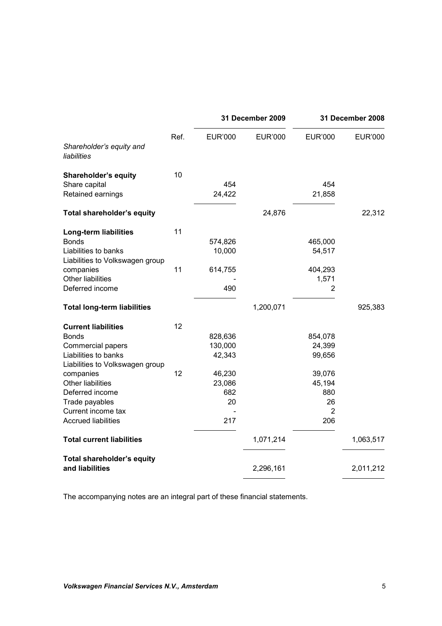|                                         |      |                | 31 December 2009 |                | 31 December 2008 |
|-----------------------------------------|------|----------------|------------------|----------------|------------------|
| Shareholder's equity and<br>liabilities | Ref. | <b>EUR'000</b> | <b>EUR'000</b>   | <b>EUR'000</b> | <b>EUR'000</b>   |
| <b>Shareholder's equity</b>             | 10   |                |                  |                |                  |
| Share capital                           |      | 454            |                  | 454            |                  |
| Retained earnings                       |      | 24,422         |                  | 21,858         |                  |
| <b>Total shareholder's equity</b>       |      |                | 24,876           |                | 22,312           |
| Long-term liabilities                   | 11   |                |                  |                |                  |
| <b>Bonds</b>                            |      | 574,826        |                  | 465,000        |                  |
| Liabilities to banks                    |      | 10,000         |                  | 54,517         |                  |
| Liabilities to Volkswagen group         |      |                |                  |                |                  |
| companies                               | 11   | 614,755        |                  | 404,293        |                  |
| <b>Other liabilities</b>                |      |                |                  | 1,571          |                  |
| Deferred income                         |      | 490            |                  | 2              |                  |
| <b>Total long-term liabilities</b>      |      |                | 1,200,071        |                | 925,383          |
| <b>Current liabilities</b>              | 12   |                |                  |                |                  |
| <b>Bonds</b>                            |      | 828,636        |                  | 854,078        |                  |
| Commercial papers                       |      | 130,000        |                  | 24,399         |                  |
| Liabilities to banks                    |      | 42,343         |                  | 99,656         |                  |
| Liabilities to Volkswagen group         |      |                |                  |                |                  |
| companies                               | 12   | 46,230         |                  | 39,076         |                  |
| <b>Other liabilities</b>                |      | 23,086         |                  | 45,194         |                  |
| Deferred income                         |      | 682            |                  | 880            |                  |
| Trade payables                          |      | 20             |                  | 26             |                  |
| Current income tax                      |      |                |                  | $\overline{2}$ |                  |
| <b>Accrued liabilities</b>              |      | 217            |                  | 206            |                  |
| <b>Total current liabilities</b>        |      |                | 1,071,214        |                | 1,063,517        |
| Total shareholder's equity              |      |                |                  |                |                  |
| and liabilities                         |      |                | 2,296,161        |                | 2,011,212        |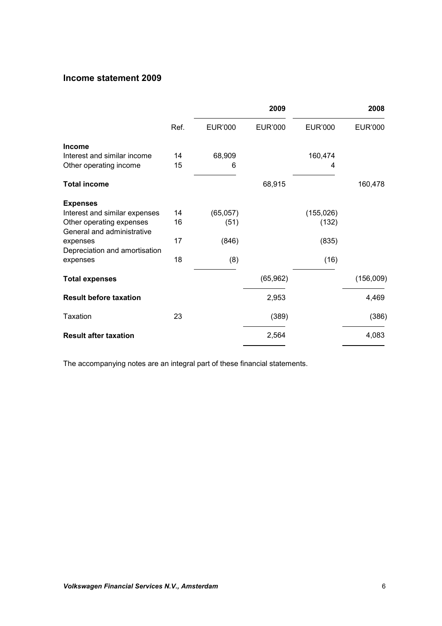# **Income statement 2009**

|                                                        |      |                | 2009           |                | 2008           |
|--------------------------------------------------------|------|----------------|----------------|----------------|----------------|
|                                                        | Ref. | <b>EUR'000</b> | <b>EUR'000</b> | <b>EUR'000</b> | <b>EUR'000</b> |
| <b>Income</b>                                          |      |                |                |                |                |
| Interest and similar income                            | 14   | 68,909         |                | 160,474        |                |
| Other operating income                                 | 15   | 6              |                | 4              |                |
| <b>Total income</b>                                    |      |                | 68,915         |                | 160,478        |
| <b>Expenses</b>                                        |      |                |                |                |                |
| Interest and similar expenses                          | 14   | (65,057)       |                | (155, 026)     |                |
| Other operating expenses<br>General and administrative | 16   | (51)           |                | (132)          |                |
| expenses<br>Depreciation and amortisation              | 17   | (846)          |                | (835)          |                |
| expenses                                               | 18   | (8)            |                | (16)           |                |
| <b>Total expenses</b>                                  |      |                | (65, 962)      |                | (156,009)      |
| <b>Result before taxation</b>                          |      |                | 2,953          |                | 4,469          |
| Taxation                                               | 23   |                | (389)          |                | (386)          |
| <b>Result after taxation</b>                           |      |                | 2,564          |                | 4,083          |
|                                                        |      |                |                |                |                |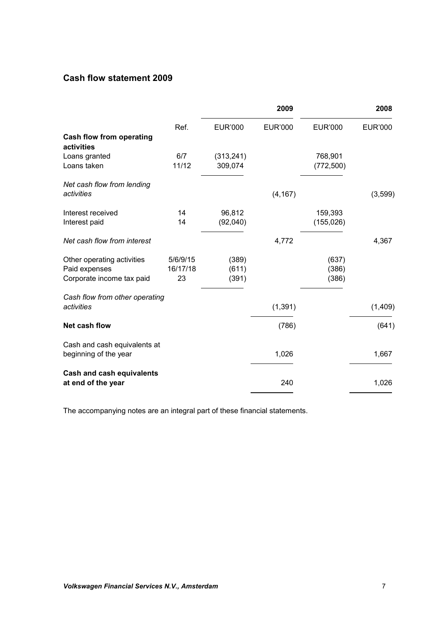# **Cash flow statement 2009**

|                                        |          |                | 2009           |                | 2008           |
|----------------------------------------|----------|----------------|----------------|----------------|----------------|
|                                        | Ref.     | <b>EUR'000</b> | <b>EUR'000</b> | <b>EUR'000</b> | <b>EUR'000</b> |
| Cash flow from operating<br>activities |          |                |                |                |                |
| Loans granted                          | 6/7      | (313, 241)     |                | 768,901        |                |
| Loans taken                            | 11/12    | 309,074        |                | (772, 500)     |                |
| Net cash flow from lending             |          |                |                |                |                |
| activities                             |          |                | (4, 167)       |                | (3,599)        |
| Interest received                      | 14       | 96,812         |                | 159,393        |                |
| Interest paid                          | 14       | (92,040)       |                | (155, 026)     |                |
| Net cash flow from interest            |          |                | 4,772          |                | 4,367          |
| Other operating activities             | 5/6/9/15 | (389)          |                | (637)          |                |
| Paid expenses                          | 16/17/18 | (611)          |                | (386)          |                |
| Corporate income tax paid              | 23       | (391)          |                | (386)          |                |
| Cash flow from other operating         |          |                |                |                |                |
| activities                             |          |                | (1, 391)       |                | (1,409)        |
| <b>Net cash flow</b>                   |          |                | (786)          |                | (641)          |
| Cash and cash equivalents at           |          |                |                |                |                |
| beginning of the year                  |          |                | 1,026          |                | 1,667          |
| <b>Cash and cash equivalents</b>       |          |                |                |                |                |
| at end of the year                     |          |                | 240            |                | 1,026          |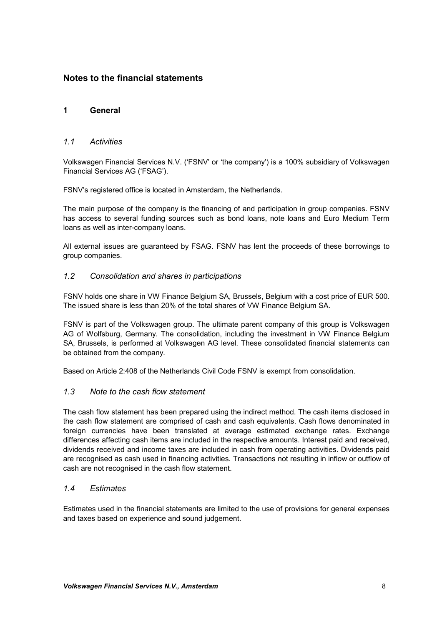# **Notes to the financial statements**

### **1 General**

### *1.1 Activities*

Volkswagen Financial Services N.V. ('FSNV' or 'the company') is a 100% subsidiary of Volkswagen Financial Services AG ('FSAG').

FSNV's registered office is located in Amsterdam, the Netherlands.

The main purpose of the company is the financing of and participation in group companies. FSNV has access to several funding sources such as bond loans, note loans and Euro Medium Term loans as well as inter-company loans.

All external issues are guaranteed by FSAG. FSNV has lent the proceeds of these borrowings to group companies.

### *1.2 Consolidation and shares in participations*

FSNV holds one share in VW Finance Belgium SA, Brussels, Belgium with a cost price of EUR 500. The issued share is less than 20% of the total shares of VW Finance Belgium SA.

FSNV is part of the Volkswagen group. The ultimate parent company of this group is Volkswagen AG of Wolfsburg, Germany. The consolidation, including the investment in VW Finance Belgium SA, Brussels, is performed at Volkswagen AG level. These consolidated financial statements can be obtained from the company.

Based on Article 2:408 of the Netherlands Civil Code FSNV is exempt from consolidation.

#### *1.3 Note to the cash flow statement*

The cash flow statement has been prepared using the indirect method. The cash items disclosed in the cash flow statement are comprised of cash and cash equivalents. Cash flows denominated in foreign currencies have been translated at average estimated exchange rates. Exchange differences affecting cash items are included in the respective amounts. Interest paid and received, dividends received and income taxes are included in cash from operating activities. Dividends paid are recognised as cash used in financing activities. Transactions not resulting in inflow or outflow of cash are not recognised in the cash flow statement.

#### *1.4 Estimates*

Estimates used in the financial statements are limited to the use of provisions for general expenses and taxes based on experience and sound judgement.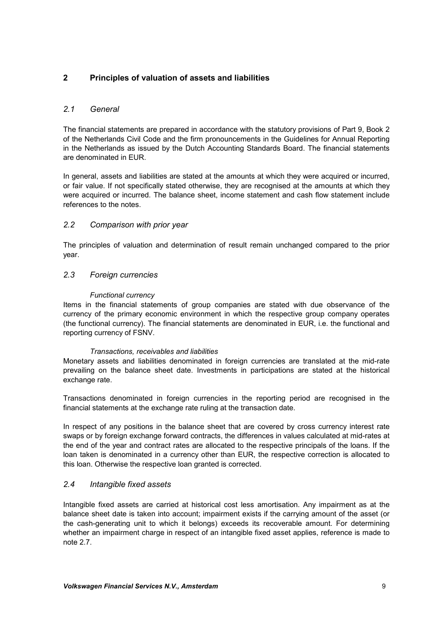# **2 Principles of valuation of assets and liabilities**

### *2.1 General*

The financial statements are prepared in accordance with the statutory provisions of Part 9, Book 2 of the Netherlands Civil Code and the firm pronouncements in the Guidelines for Annual Reporting in the Netherlands as issued by the Dutch Accounting Standards Board. The financial statements are denominated in EUR.

In general, assets and liabilities are stated at the amounts at which they were acquired or incurred, or fair value. If not specifically stated otherwise, they are recognised at the amounts at which they were acquired or incurred. The balance sheet, income statement and cash flow statement include references to the notes.

### *2.2 Comparison with prior year*

The principles of valuation and determination of result remain unchanged compared to the prior year.

### *2.3 Foreign currencies*

#### *Functional currency*

Items in the financial statements of group companies are stated with due observance of the currency of the primary economic environment in which the respective group company operates (the functional currency). The financial statements are denominated in EUR, i.e. the functional and reporting currency of FSNV.

#### *Transactions, receivables and liabilities*

Monetary assets and liabilities denominated in foreign currencies are translated at the mid-rate prevailing on the balance sheet date. Investments in participations are stated at the historical exchange rate.

Transactions denominated in foreign currencies in the reporting period are recognised in the financial statements at the exchange rate ruling at the transaction date.

In respect of any positions in the balance sheet that are covered by cross currency interest rate swaps or by foreign exchange forward contracts, the differences in values calculated at mid-rates at the end of the year and contract rates are allocated to the respective principals of the loans. If the loan taken is denominated in a currency other than EUR, the respective correction is allocated to this loan. Otherwise the respective loan granted is corrected.

### *2.4 Intangible fixed assets*

Intangible fixed assets are carried at historical cost less amortisation. Any impairment as at the balance sheet date is taken into account; impairment exists if the carrying amount of the asset (or the cash-generating unit to which it belongs) exceeds its recoverable amount. For determining whether an impairment charge in respect of an intangible fixed asset applies, reference is made to note 2.7.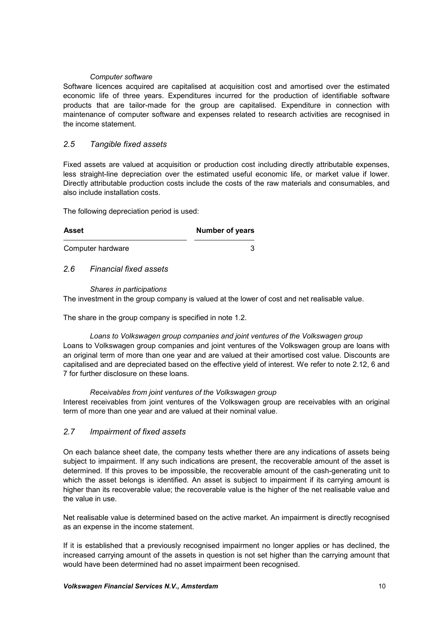#### *Computer software*

Software licences acquired are capitalised at acquisition cost and amortised over the estimated economic life of three years. Expenditures incurred for the production of identifiable software products that are tailor-made for the group are capitalised. Expenditure in connection with maintenance of computer software and expenses related to research activities are recognised in the income statement.

### *2.5 Tangible fixed assets*

Fixed assets are valued at acquisition or production cost including directly attributable expenses, less straight-line depreciation over the estimated useful economic life, or market value if lower. Directly attributable production costs include the costs of the raw materials and consumables, and also include installation costs.

The following depreciation period is used:

| Asset             | <b>Number of years</b> |
|-------------------|------------------------|
| Computer hardware |                        |

### *2.6 Financial fixed assets*

#### *Shares in participations*

The investment in the group company is valued at the lower of cost and net realisable value.

The share in the group company is specified in note 1.2.

#### *Loans to Volkswagen group companies and joint ventures of the Volkswagen group*

Loans to Volkswagen group companies and joint ventures of the Volkswagen group are loans with an original term of more than one year and are valued at their amortised cost value. Discounts are capitalised and are depreciated based on the effective yield of interest. We refer to note 2.12, 6 and 7 for further disclosure on these loans.

#### *Receivables from joint ventures of the Volkswagen group*

Interest receivables from joint ventures of the Volkswagen group are receivables with an original term of more than one year and are valued at their nominal value.

#### *2.7 Impairment of fixed assets*

On each balance sheet date, the company tests whether there are any indications of assets being subject to impairment. If any such indications are present, the recoverable amount of the asset is determined. If this proves to be impossible, the recoverable amount of the cash-generating unit to which the asset belongs is identified. An asset is subject to impairment if its carrying amount is higher than its recoverable value; the recoverable value is the higher of the net realisable value and the value in use.

Net realisable value is determined based on the active market. An impairment is directly recognised as an expense in the income statement.

If it is established that a previously recognised impairment no longer applies or has declined, the increased carrying amount of the assets in question is not set higher than the carrying amount that would have been determined had no asset impairment been recognised.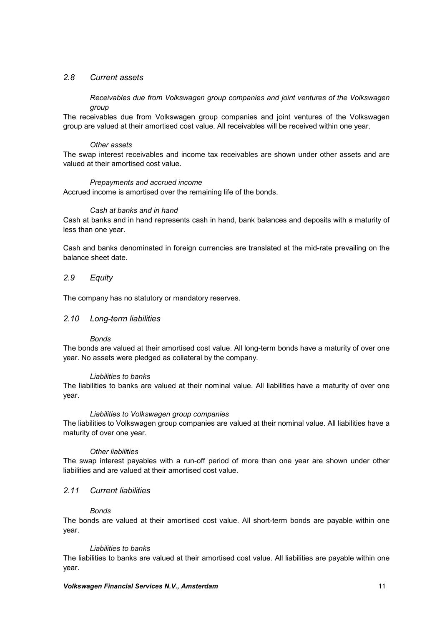### *2.8 Current assets*

*Receivables due from Volkswagen group companies and joint ventures of the Volkswagen group*

The receivables due from Volkswagen group companies and joint ventures of the Volkswagen group are valued at their amortised cost value. All receivables will be received within one year.

#### *Other assets*

The swap interest receivables and income tax receivables are shown under other assets and are valued at their amortised cost value.

#### *Prepayments and accrued income*

Accrued income is amortised over the remaining life of the bonds.

#### *Cash at banks and in hand*

Cash at banks and in hand represents cash in hand, bank balances and deposits with a maturity of less than one year.

Cash and banks denominated in foreign currencies are translated at the mid-rate prevailing on the balance sheet date.

### *2.9 Equity*

The company has no statutory or mandatory reserves.

#### *2.10 Long-term liabilities*

#### *Bonds*

The bonds are valued at their amortised cost value. All long-term bonds have a maturity of over one year. No assets were pledged as collateral by the company.

#### *Liabilities to banks*

The liabilities to banks are valued at their nominal value. All liabilities have a maturity of over one year.

#### *Liabilities to Volkswagen group companies*

The liabilities to Volkswagen group companies are valued at their nominal value. All liabilities have a maturity of over one year.

#### *Other liabilities*

The swap interest payables with a run-off period of more than one year are shown under other liabilities and are valued at their amortised cost value.

#### *2.11 Current liabilities*

#### *Bonds*

The bonds are valued at their amortised cost value. All short-term bonds are payable within one year.

#### *Liabilities to banks*

The liabilities to banks are valued at their amortised cost value. All liabilities are payable within one year.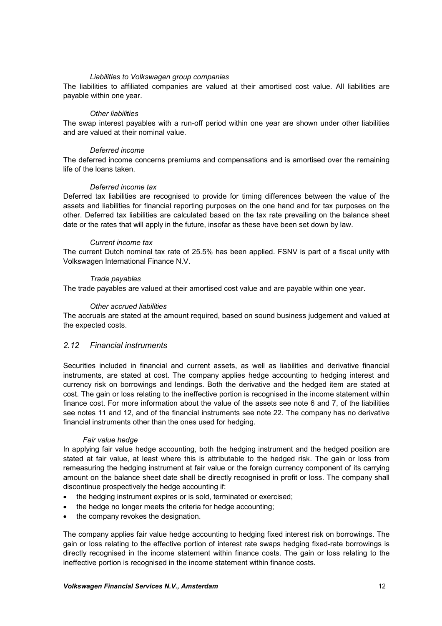#### *Liabilities to Volkswagen group companies*

The liabilities to affiliated companies are valued at their amortised cost value. All liabilities are payable within one year.

#### *Other liabilities*

The swap interest payables with a run-off period within one year are shown under other liabilities and are valued at their nominal value.

#### *Deferred income*

The deferred income concerns premiums and compensations and is amortised over the remaining life of the loans taken.

#### *Deferred income tax*

Deferred tax liabilities are recognised to provide for timing differences between the value of the assets and liabilities for financial reporting purposes on the one hand and for tax purposes on the other. Deferred tax liabilities are calculated based on the tax rate prevailing on the balance sheet date or the rates that will apply in the future, insofar as these have been set down by law.

#### *Current income tax*

The current Dutch nominal tax rate of 25.5% has been applied. FSNV is part of a fiscal unity with Volkswagen International Finance N.V.

#### *Trade payables*

The trade payables are valued at their amortised cost value and are payable within one year.

#### *Other accrued liabilities*

The accruals are stated at the amount required, based on sound business judgement and valued at the expected costs.

### *2.12 Financial instruments*

Securities included in financial and current assets, as well as liabilities and derivative financial instruments, are stated at cost. The company applies hedge accounting to hedging interest and currency risk on borrowings and lendings. Both the derivative and the hedged item are stated at cost. The gain or loss relating to the ineffective portion is recognised in the income statement within finance cost. For more information about the value of the assets see note 6 and 7, of the liabilities see notes 11 and 12, and of the financial instruments see note 22. The company has no derivative financial instruments other than the ones used for hedging.

#### *Fair value hedge*

In applying fair value hedge accounting, both the hedging instrument and the hedged position are stated at fair value, at least where this is attributable to the hedged risk. The gain or loss from remeasuring the hedging instrument at fair value or the foreign currency component of its carrying amount on the balance sheet date shall be directly recognised in profit or loss. The company shall discontinue prospectively the hedge accounting if:

- the hedging instrument expires or is sold, terminated or exercised;
- the hedge no longer meets the criteria for hedge accounting;
- the company revokes the designation.

The company applies fair value hedge accounting to hedging fixed interest risk on borrowings. The gain or loss relating to the effective portion of interest rate swaps hedging fixed-rate borrowings is directly recognised in the income statement within finance costs. The gain or loss relating to the ineffective portion is recognised in the income statement within finance costs.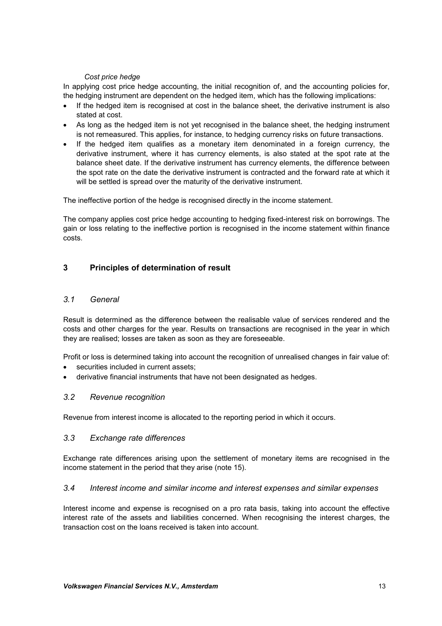#### *Cost price hedge*

In applying cost price hedge accounting, the initial recognition of, and the accounting policies for, the hedging instrument are dependent on the hedged item, which has the following implications:

- If the hedged item is recognised at cost in the balance sheet, the derivative instrument is also stated at cost.
- As long as the hedged item is not yet recognised in the balance sheet, the hedging instrument is not remeasured. This applies, for instance, to hedging currency risks on future transactions.
- If the hedged item qualifies as a monetary item denominated in a foreign currency, the derivative instrument, where it has currency elements, is also stated at the spot rate at the balance sheet date. If the derivative instrument has currency elements, the difference between the spot rate on the date the derivative instrument is contracted and the forward rate at which it will be settled is spread over the maturity of the derivative instrument.

The ineffective portion of the hedge is recognised directly in the income statement.

The company applies cost price hedge accounting to hedging fixed-interest risk on borrowings. The gain or loss relating to the ineffective portion is recognised in the income statement within finance costs.

### **3 Principles of determination of result**

#### *3.1 General*

Result is determined as the difference between the realisable value of services rendered and the costs and other charges for the year. Results on transactions are recognised in the year in which they are realised; losses are taken as soon as they are foreseeable.

Profit or loss is determined taking into account the recognition of unrealised changes in fair value of:

- securities included in current assets;
- derivative financial instruments that have not been designated as hedges.

#### *3.2 Revenue recognition*

Revenue from interest income is allocated to the reporting period in which it occurs.

#### *3.3 Exchange rate differences*

Exchange rate differences arising upon the settlement of monetary items are recognised in the income statement in the period that they arise (note 15).

#### *3.4 Interest income and similar income and interest expenses and similar expenses*

Interest income and expense is recognised on a pro rata basis, taking into account the effective interest rate of the assets and liabilities concerned. When recognising the interest charges, the transaction cost on the loans received is taken into account.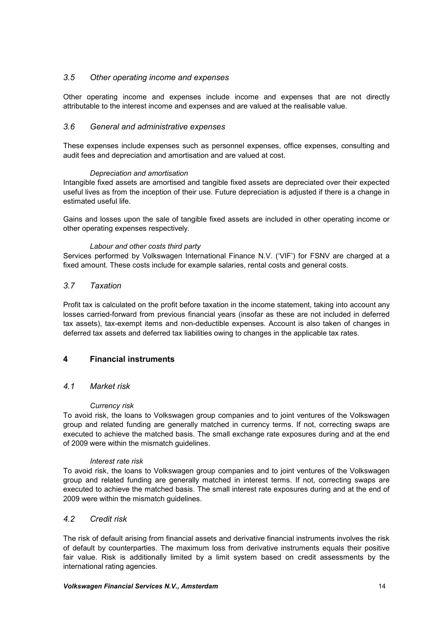### *3.5 Other operating income and expenses*

Other operating income and expenses include income and expenses that are not directly attributable to the interest income and expenses and are valued at the realisable value.

### *3.6 General and administrative expenses*

These expenses include expenses such as personnel expenses, office expenses, consulting and audit fees and depreciation and amortisation and are valued at cost.

#### *Depreciation and amortisation*

Intangible fixed assets are amortised and tangible fixed assets are depreciated over their expected useful lives as from the inception of their use. Future depreciation is adjusted if there is a change in estimated useful life.

Gains and losses upon the sale of tangible fixed assets are included in other operating income or other operating expenses respectively.

#### *Labour and other costs third party*

Services performed by Volkswagen International Finance N.V. ('VIF') for FSNV are charged at a fixed amount. These costs include for example salaries, rental costs and general costs.

#### *3.7 Taxation*

Profit tax is calculated on the profit before taxation in the income statement, taking into account any losses carried-forward from previous financial years (insofar as these are not included in deferred tax assets), tax-exempt items and non-deductible expenses. Account is also taken of changes in deferred tax assets and deferred tax liabilities owing to changes in the applicable tax rates.

### **4 Financial instruments**

#### *4.1 Market risk*

#### *Currency risk*

To avoid risk, the loans to Volkswagen group companies and to joint ventures of the Volkswagen group and related funding are generally matched in currency terms. If not, correcting swaps are executed to achieve the matched basis. The small exchange rate exposures during and at the end of 2009 were within the mismatch guidelines.

#### *Interest rate risk*

To avoid risk, the loans to Volkswagen group companies and to joint ventures of the Volkswagen group and related funding are generally matched in interest terms. If not, correcting swaps are executed to achieve the matched basis. The small interest rate exposures during and at the end of 2009 were within the mismatch guidelines.

### *4.2 Credit risk*

The risk of default arising from financial assets and derivative financial instruments involves the risk of default by counterparties. The maximum loss from derivative instruments equals their positive fair value. Risk is additionally limited by a limit system based on credit assessments by the international rating agencies.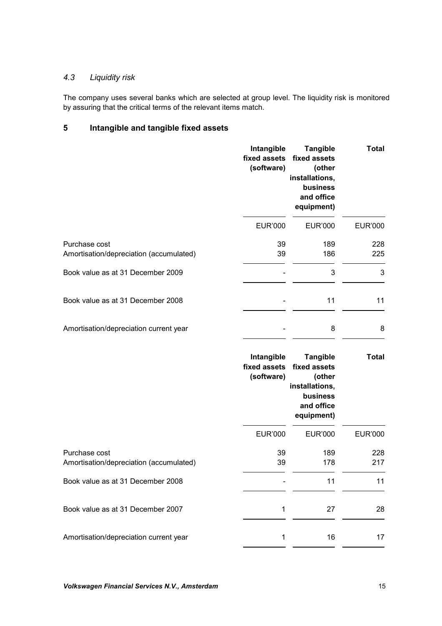# *4.3 Liquidity risk*

The company uses several banks which are selected at group level. The liquidity risk is monitored by assuring that the critical terms of the relevant items match.

# **5 Intangible and tangible fixed assets**

|                                                          | Intangible<br>fixed assets<br>(software) | <b>Tangible</b><br>fixed assets<br>(other<br>installations,<br>business<br>and office<br>equipment) | <b>Total</b>   |
|----------------------------------------------------------|------------------------------------------|-----------------------------------------------------------------------------------------------------|----------------|
|                                                          | <b>EUR'000</b>                           | <b>EUR'000</b>                                                                                      | <b>EUR'000</b> |
| Purchase cost<br>Amortisation/depreciation (accumulated) | 39<br>39                                 | 189<br>186                                                                                          | 228<br>225     |
| Book value as at 31 December 2009                        |                                          | 3                                                                                                   | 3              |
| Book value as at 31 December 2008                        |                                          | 11                                                                                                  | 11             |
| Amortisation/depreciation current year                   |                                          | 8                                                                                                   | 8              |
|                                                          | Intangible<br>fixed assets<br>(software) | <b>Tangible</b><br>fixed assets<br>(other<br>installations,<br>business<br>and office<br>equipment) | <b>Total</b>   |
|                                                          | <b>EUR'000</b>                           | <b>EUR'000</b>                                                                                      | <b>EUR'000</b> |
| Purchase cost<br>Amortisation/depreciation (accumulated) | 39<br>39                                 | 189<br>178                                                                                          | 228<br>217     |
| Book value as at 31 December 2008                        |                                          | 11                                                                                                  | 11             |
| Book value as at 31 December 2007                        | 1                                        | 27                                                                                                  | 28             |
|                                                          |                                          |                                                                                                     |                |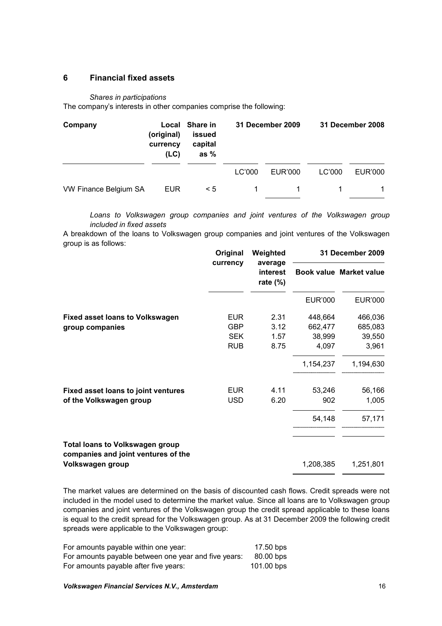#### **6 Financial fixed assets**

#### *Shares in participations*

The company's interests in other companies comprise the following:

| Company               | (original)<br>currency<br>(LC) | Local Share in<br>issued<br>capital<br>as $%$ |        | 31 December 2009 |        | 31 December 2008 |
|-----------------------|--------------------------------|-----------------------------------------------|--------|------------------|--------|------------------|
|                       |                                |                                               | LC'000 | EUR'000          | LC'000 | EUR'000          |
| VW Finance Belgium SA | <b>EUR</b>                     | $\leq 5$                                      |        |                  |        |                  |

*Loans to Volkswagen group companies and joint ventures of the Volkswagen group included in fixed assets*

A breakdown of the loans to Volkswagen group companies and joint ventures of the Volkswagen group is as follows:

|                                                                               | Original<br>currency | Weighted<br>average<br>interest<br>rate $(\%)$ | <b>31 December 2009</b> |                         |  |
|-------------------------------------------------------------------------------|----------------------|------------------------------------------------|-------------------------|-------------------------|--|
|                                                                               |                      |                                                |                         | Book value Market value |  |
|                                                                               |                      |                                                | <b>EUR'000</b>          | <b>EUR'000</b>          |  |
| <b>Fixed asset loans to Volkswagen</b>                                        | <b>EUR</b>           | 2.31                                           | 448,664                 | 466,036                 |  |
| group companies                                                               | GBP                  | 3.12                                           | 662,477                 | 685,083                 |  |
|                                                                               | <b>SEK</b>           | 1.57                                           | 38,999                  | 39,550                  |  |
|                                                                               | <b>RUB</b>           | 8.75                                           | 4,097                   | 3,961                   |  |
|                                                                               |                      |                                                | 1,154,237               | 1,194,630               |  |
| <b>Fixed asset loans to joint ventures</b>                                    | <b>EUR</b>           | 4.11                                           | 53,246                  | 56,166                  |  |
| of the Volkswagen group                                                       | <b>USD</b>           | 6.20                                           | 902                     | 1,005                   |  |
|                                                                               |                      |                                                | 54,148                  | 57,171                  |  |
| <b>Total loans to Volkswagen group</b><br>companies and joint ventures of the |                      |                                                |                         |                         |  |
| Volkswagen group                                                              |                      |                                                | 1,208,385               | 1,251,801               |  |

The market values are determined on the basis of discounted cash flows. Credit spreads were not included in the model used to determine the market value. Since all loans are to Volkswagen group companies and joint ventures of the Volkswagen group the credit spread applicable to these loans is equal to the credit spread for the Volkswagen group. As at 31 December 2009 the following credit spreads were applicable to the Volkswagen group:

| For amounts payable within one year:                 | 17.50 bps  |
|------------------------------------------------------|------------|
| For amounts payable between one year and five years: | 80.00 bps  |
| For amounts payable after five years:                | 101.00 bps |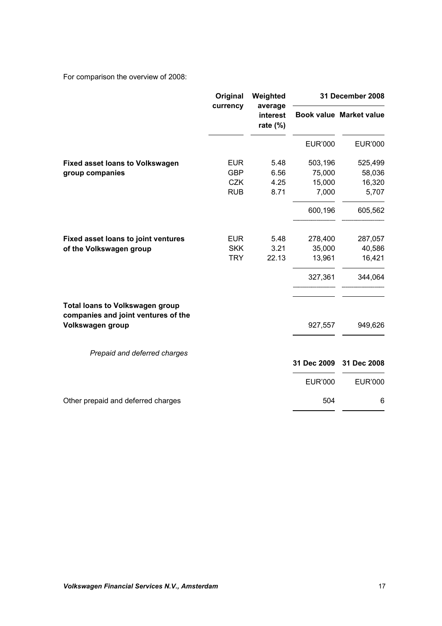For comparison the overview of 2008:

|                                                                               | Original   | Weighted                           | 31 December 2008 |                         |  |
|-------------------------------------------------------------------------------|------------|------------------------------------|------------------|-------------------------|--|
|                                                                               | currency   | average<br>interest<br>rate $(\%)$ |                  | Book value Market value |  |
|                                                                               |            |                                    | <b>EUR'000</b>   | <b>EUR'000</b>          |  |
| <b>Fixed asset loans to Volkswagen</b>                                        | <b>EUR</b> | 5.48                               | 503,196          | 525,499                 |  |
| group companies                                                               | <b>GBP</b> | 6.56                               | 75,000           | 58,036                  |  |
|                                                                               | <b>CZK</b> | 4.25                               | 15,000           | 16,320                  |  |
|                                                                               | <b>RUB</b> | 8.71                               | 7,000            | 5,707                   |  |
|                                                                               |            |                                    | 600,196          | 605,562                 |  |
| Fixed asset loans to joint ventures                                           | <b>EUR</b> | 5.48                               | 278,400          | 287,057                 |  |
| of the Volkswagen group                                                       | <b>SKK</b> | 3.21                               | 35,000           | 40,586                  |  |
|                                                                               | <b>TRY</b> | 22.13                              | 13,961           | 16,421                  |  |
|                                                                               |            |                                    | 327,361          | 344,064                 |  |
| <b>Total loans to Volkswagen group</b><br>companies and joint ventures of the |            |                                    |                  |                         |  |
| Volkswagen group                                                              |            |                                    | 927,557          | 949,626                 |  |
| Prepaid and deferred charges                                                  |            |                                    |                  |                         |  |
|                                                                               |            |                                    | 31 Dec 2009      | 31 Dec 2008             |  |
|                                                                               |            |                                    | <b>EUR'000</b>   | <b>EUR'000</b>          |  |
| Other prepaid and deferred charges                                            |            |                                    | 504              | 6                       |  |
|                                                                               |            |                                    |                  |                         |  |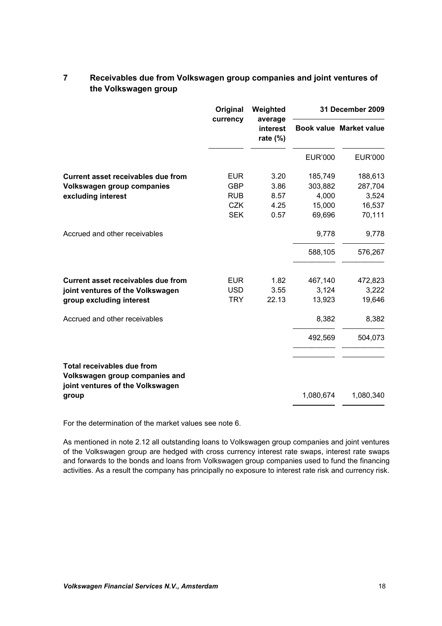|                                                                                                  | Original   | Weighted | 31 December 2009                   |                |                         |
|--------------------------------------------------------------------------------------------------|------------|----------|------------------------------------|----------------|-------------------------|
|                                                                                                  |            | currency | average<br>interest<br>rate $(\%)$ |                | Book value Market value |
|                                                                                                  |            |          | <b>EUR'000</b>                     | <b>EUR'000</b> |                         |
| <b>Current asset receivables due from</b>                                                        | <b>EUR</b> | 3.20     | 185,749                            | 188,613        |                         |
| Volkswagen group companies                                                                       | <b>GBP</b> | 3.86     | 303,882                            | 287,704        |                         |
| excluding interest                                                                               | <b>RUB</b> | 8.57     | 4,000                              | 3,524          |                         |
|                                                                                                  | <b>CZK</b> | 4.25     | 15,000                             | 16,537         |                         |
|                                                                                                  | <b>SEK</b> | 0.57     | 69,696                             | 70,111         |                         |
| Accrued and other receivables                                                                    |            |          | 9,778                              | 9,778          |                         |
|                                                                                                  |            |          | 588,105                            | 576,267        |                         |
| Current asset receivables due from                                                               | <b>EUR</b> | 1.82     | 467,140                            | 472,823        |                         |
| joint ventures of the Volkswagen                                                                 | <b>USD</b> | 3.55     | 3,124                              | 3,222          |                         |
| group excluding interest                                                                         | <b>TRY</b> | 22.13    | 13,923                             | 19,646         |                         |
| Accrued and other receivables                                                                    |            |          | 8,382                              | 8,382          |                         |
|                                                                                                  |            |          | 492,569                            | 504,073        |                         |
| Total receivables due from<br>Volkswagen group companies and<br>joint ventures of the Volkswagen |            |          |                                    |                |                         |
| group                                                                                            |            |          | 1,080,674                          | 1,080,340      |                         |

# **7 Receivables due from Volkswagen group companies and joint ventures of the Volkswagen group**

For the determination of the market values see note 6.

As mentioned in note 2.12 all outstanding loans to Volkswagen group companies and joint ventures of the Volkswagen group are hedged with cross currency interest rate swaps, interest rate swaps and forwards to the bonds and loans from Volkswagen group companies used to fund the financing activities. As a result the company has principally no exposure to interest rate risk and currency risk.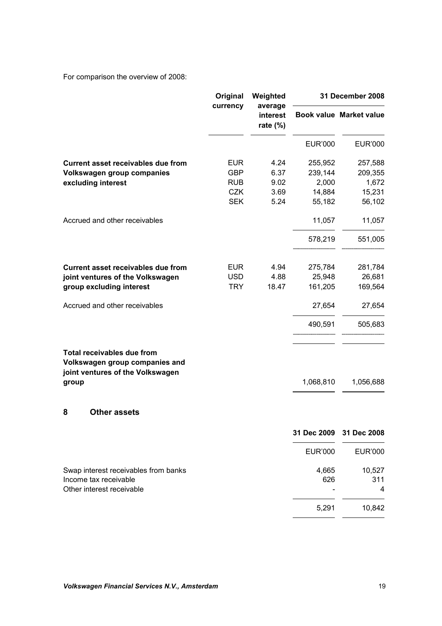For comparison the overview of 2008:

|                                                                                                                  | Original<br>currency | Weighted<br>average<br>interest<br>rate $(\%)$ |                | 31 December 2008 |                                |
|------------------------------------------------------------------------------------------------------------------|----------------------|------------------------------------------------|----------------|------------------|--------------------------------|
|                                                                                                                  |                      |                                                |                |                  | <b>Book value Market value</b> |
|                                                                                                                  |                      |                                                | <b>EUR'000</b> | <b>EUR'000</b>   |                                |
| <b>Current asset receivables due from</b>                                                                        | <b>EUR</b>           | 4.24                                           | 255,952        | 257,588          |                                |
| Volkswagen group companies                                                                                       | <b>GBP</b>           | 6.37                                           | 239,144        | 209,355          |                                |
| excluding interest                                                                                               | <b>RUB</b>           | 9.02                                           | 2,000          | 1,672            |                                |
|                                                                                                                  | <b>CZK</b>           | 3.69                                           | 14,884         | 15,231           |                                |
|                                                                                                                  | <b>SEK</b>           | 5.24                                           | 55,182         | 56,102           |                                |
| Accrued and other receivables                                                                                    |                      |                                                | 11,057         | 11,057           |                                |
|                                                                                                                  |                      |                                                | 578,219        | 551,005          |                                |
| Current asset receivables due from                                                                               | <b>EUR</b>           | 4.94                                           | 275,784        | 281,784          |                                |
| joint ventures of the Volkswagen                                                                                 | <b>USD</b>           | 4.88                                           | 25,948         | 26,681           |                                |
| group excluding interest                                                                                         | <b>TRY</b>           | 18.47                                          | 161,205        | 169,564          |                                |
| Accrued and other receivables                                                                                    |                      |                                                | 27,654         | 27,654           |                                |
|                                                                                                                  |                      |                                                | 490,591        | 505,683          |                                |
| <b>Total receivables due from</b><br>Volkswagen group companies and<br>joint ventures of the Volkswagen<br>group |                      |                                                | 1,068,810      | 1,056,688        |                                |
| <b>Other assets</b><br>8                                                                                         |                      |                                                |                |                  |                                |
|                                                                                                                  |                      |                                                | 31 Dec 2009    | 31 Dec 2008      |                                |
|                                                                                                                  |                      |                                                | <b>EUR'000</b> | <b>EUR'000</b>   |                                |
| Swap interest receivables from banks                                                                             |                      |                                                | 4,665          | 10,527           |                                |
| Income tax receivable                                                                                            |                      |                                                | 626            | 311              |                                |
| Other interest receivable                                                                                        |                      |                                                |                | 4                |                                |
|                                                                                                                  |                      |                                                | 5,291          | 10,842           |                                |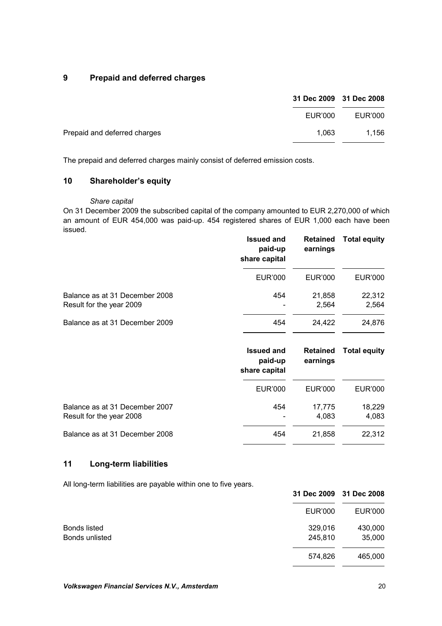# **9 Prepaid and deferred charges**

| 31 Dec 2009 31 Dec 2008               |         |
|---------------------------------------|---------|
| EUR'000                               | EUR'000 |
| Prepaid and deferred charges<br>1.063 | 1.156   |

The prepaid and deferred charges mainly consist of deferred emission costs.

# **10 Shareholder's equity**

#### *Share capital*

On 31 December 2009 the subscribed capital of the company amounted to EUR 2,270,000 of which an amount of EUR 454,000 was paid-up. 454 registered shares of EUR 1,000 each have been issued.

|                                                            | <b>Issued and</b><br>paid-up<br>share capital | <b>Retained</b><br>earnings | <b>Total equity</b> |
|------------------------------------------------------------|-----------------------------------------------|-----------------------------|---------------------|
|                                                            | EUR'000                                       | EUR'000                     | EUR'000             |
| Balance as at 31 December 2008<br>Result for the year 2009 | 454                                           | 21,858<br>2,564             | 22,312<br>2,564     |
| Balance as at 31 December 2009                             | 454                                           | 24,422                      | 24,876              |

|                                                            | <b>Issued and</b><br>paid-up<br>share capital | <b>Retained</b><br>earnings | <b>Total equity</b> |
|------------------------------------------------------------|-----------------------------------------------|-----------------------------|---------------------|
|                                                            | EUR'000                                       | EUR'000                     | EUR'000             |
| Balance as at 31 December 2007<br>Result for the year 2008 | 454                                           | 17.775<br>4,083             | 18,229<br>4,083     |
| Balance as at 31 December 2008                             | 454                                           | 21,858                      | 22,312              |

### **11 Long-term liabilities**

All long-term liabilities are payable within one to five years.

| ັ              |  |         | 31 Dec 2009 31 Dec 2008 |
|----------------|--|---------|-------------------------|
|                |  | EUR'000 | <b>EUR'000</b>          |
| Bonds listed   |  | 329,016 | 430,000                 |
| Bonds unlisted |  | 245,810 | 35,000                  |
|                |  | 574,826 | 465,000                 |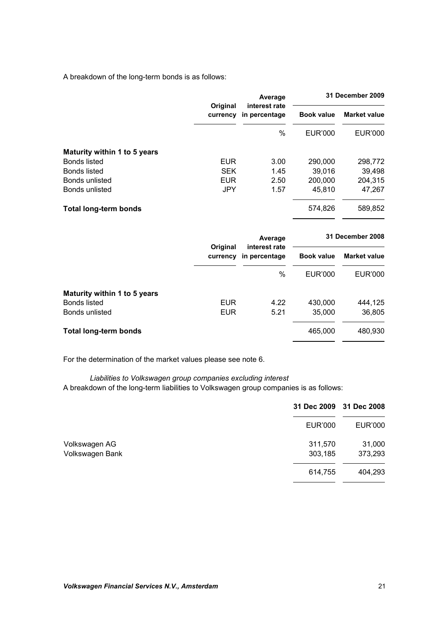A breakdown of the long-term bonds is as follows:

|                              |                      | Average                        | 31 December 2009  |                     |
|------------------------------|----------------------|--------------------------------|-------------------|---------------------|
|                              | Original<br>currency | interest rate<br>in percentage | <b>Book value</b> | <b>Market value</b> |
|                              |                      | $\frac{0}{0}$                  | EUR'000           | <b>EUR'000</b>      |
| Maturity within 1 to 5 years |                      |                                |                   |                     |
| <b>Bonds listed</b>          | <b>EUR</b>           | 3.00                           | 290,000           | 298,772             |
| Bonds listed                 | <b>SEK</b>           | 1.45                           | 39,016            | 39,498              |
| Bonds unlisted               | <b>EUR</b>           | 2.50                           | 200,000           | 204,315             |
| Bonds unlisted               | <b>JPY</b>           | 1.57                           | 45,810            | 47,267              |
| <b>Total long-term bonds</b> |                      |                                | 574,826           | 589,852             |

| Original<br>currency | Average | 31 December 2008 |         |  |               |                   |
|----------------------|---------|------------------|---------|--|---------------|-------------------|
|                      |         |                  |         |  | in percentage | <b>Book value</b> |
|                      | $\%$    | EUR'000          | EUR'000 |  |               |                   |
|                      |         |                  |         |  |               |                   |
| <b>EUR</b>           | 4.22    | 430,000          | 444,125 |  |               |                   |
| <b>EUR</b>           | 5.21    | 35,000           | 36,805  |  |               |                   |
|                      |         | 465,000          | 480,930 |  |               |                   |
|                      |         | interest rate    |         |  |               |                   |

For the determination of the market values please see note 6.

*Liabilities to Volkswagen group companies excluding interest* A breakdown of the long-term liabilities to Volkswagen group companies is as follows:

| 31 Dec 2009                                            | 31 Dec 2008       |
|--------------------------------------------------------|-------------------|
| <b>EUR'000</b>                                         | <b>EUR'000</b>    |
| 311,570<br>Volkswagen AG<br>Volkswagen Bank<br>303,185 | 31,000<br>373,293 |
| 614,755                                                | 404,293           |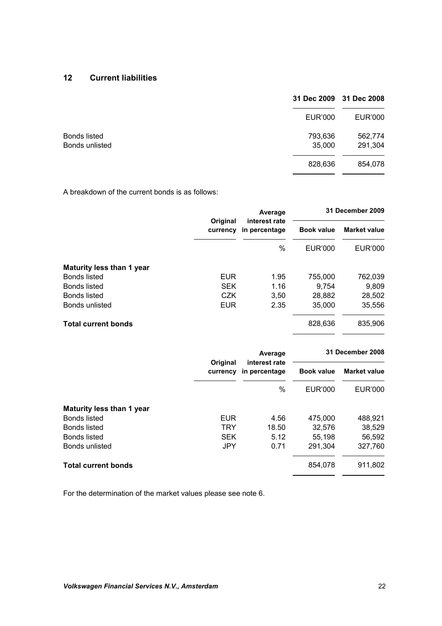### **12 Current liabilities**

|                                | 31 Dec 2009       | 31 Dec 2008        |
|--------------------------------|-------------------|--------------------|
|                                | <b>EUR'000</b>    | <b>EUR'000</b>     |
| Bonds listed<br>Bonds unlisted | 793,636<br>35,000 | 562,774<br>291,304 |
|                                | 828,636           | 854,078            |

A breakdown of the current bonds is as follows:

|                            |                      | Average                        | 31 December 2009  |                     |
|----------------------------|----------------------|--------------------------------|-------------------|---------------------|
|                            | Original<br>currency | interest rate<br>in percentage | <b>Book value</b> | <b>Market value</b> |
|                            |                      | $\%$                           | EUR'000           | <b>EUR'000</b>      |
| Maturity less than 1 year  |                      |                                |                   |                     |
| Bonds listed               | <b>EUR</b>           | 1.95                           | 755,000           | 762,039             |
| Bonds listed               | <b>SEK</b>           | 1.16                           | 9.754             | 9.809               |
| <b>Bonds listed</b>        | <b>CZK</b>           | 3,50                           | 28,882            | 28,502              |
| Bonds unlisted             | <b>EUR</b>           | 2.35                           | 35,000            | 35,556              |
| <b>Total current bonds</b> |                      |                                | 828,636           | 835,906             |

|                            |                      | Average<br>interest rate | 31 December 2008  |                     |  |
|----------------------------|----------------------|--------------------------|-------------------|---------------------|--|
|                            | Original<br>currency | in percentage            | <b>Book value</b> | <b>Market value</b> |  |
|                            |                      | $\%$                     | EUR'000           | <b>EUR'000</b>      |  |
| Maturity less than 1 year  |                      |                          |                   |                     |  |
| Bonds listed               | <b>EUR</b>           | 4.56                     | 475,000           | 488,921             |  |
| Bonds listed               | <b>TRY</b>           | 18.50                    | 32,576            | 38,529              |  |
| Bonds listed               | <b>SEK</b>           | 5.12                     | 55,198            | 56,592              |  |
| Bonds unlisted             | <b>JPY</b>           | 0.71                     | 291,304           | 327,760             |  |
| <b>Total current bonds</b> |                      |                          | 854,078           | 911,802             |  |

For the determination of the market values please see note 6.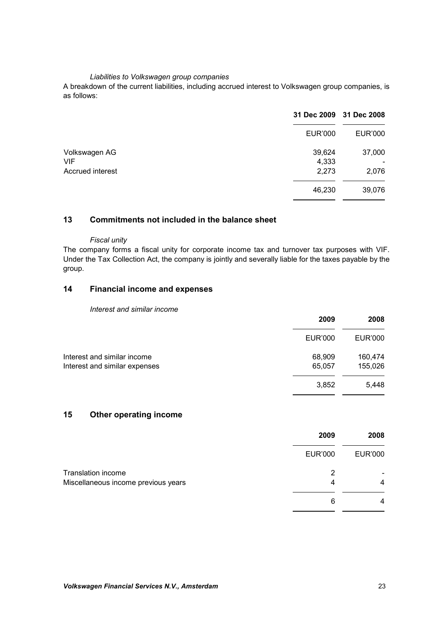#### *Liabilities to Volkswagen group companies*

A breakdown of the current liabilities, including accrued interest to Volkswagen group companies, is as follows:

|                                                 | 31 Dec 2009 31 Dec 2008  |                 |
|-------------------------------------------------|--------------------------|-----------------|
|                                                 | <b>EUR'000</b>           | <b>EUR'000</b>  |
| Volkswagen AG<br><b>VIF</b><br>Accrued interest | 39,624<br>4,333<br>2,273 | 37,000<br>2,076 |
|                                                 | 46,230                   | 39,076          |

### **13 Commitments not included in the balance sheet**

#### *Fiscal unity*

The company forms a fiscal unity for corporate income tax and turnover tax purposes with VIF. Under the Tax Collection Act, the company is jointly and severally liable for the taxes payable by the group.

# **14 Financial income and expenses**

#### *Interest and similar income*

|                               | 2009           | 2008           |
|-------------------------------|----------------|----------------|
|                               | <b>EUR'000</b> | <b>EUR'000</b> |
| Interest and similar income   | 68,909         | 160,474        |
| Interest and similar expenses | 65,057         | 155,026        |
|                               | 3,852          | 5,448          |

# **15 Other operating income**

|                                                                  | 2009           | 2008           |
|------------------------------------------------------------------|----------------|----------------|
|                                                                  | <b>EUR'000</b> | <b>EUR'000</b> |
| <b>Translation income</b><br>Miscellaneous income previous years | 2<br>4         | 4              |
|                                                                  | 6              | 4              |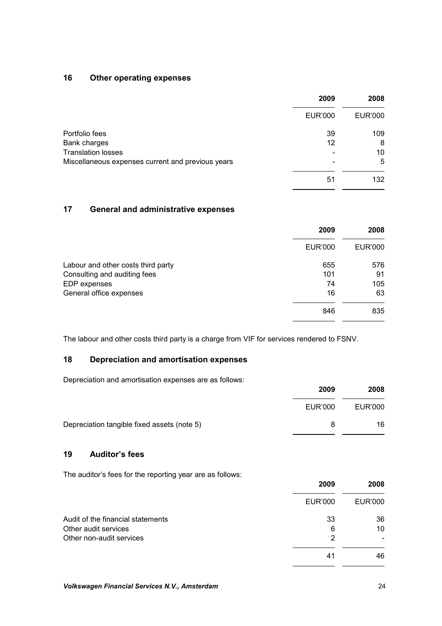### **16 Other operating expenses**

|                                                   | 2009           | 2008    |
|---------------------------------------------------|----------------|---------|
|                                                   | <b>EUR'000</b> | EUR'000 |
| Portfolio fees                                    | 39             | 109     |
| Bank charges                                      | 12             | 8       |
| <b>Translation losses</b>                         |                | 10      |
| Miscellaneous expenses current and previous years |                | 5       |
|                                                   | 51             | 132     |

# **17 General and administrative expenses**

|                                    | 2009    | 2008           |
|------------------------------------|---------|----------------|
|                                    | EUR'000 | <b>EUR'000</b> |
| Labour and other costs third party | 655     | 576            |
| Consulting and auditing fees       | 101     | 91             |
| EDP expenses                       | 74      | 105            |
| General office expenses            | 16      | 63             |
|                                    | 846     | 835            |

The labour and other costs third party is a charge from VIF for services rendered to FSNV.

### **18 Depreciation and amortisation expenses**

Depreciation and amortisation expenses are as follows:

|                                             | 2009    | 2008    |
|---------------------------------------------|---------|---------|
|                                             | EUR'000 | EUR'000 |
| Depreciation tangible fixed assets (note 5) | 8       | 16      |

# **19 Auditor's fees**

The auditor's fees for the reporting year are as follows:

|                                   | 2009           | 2008           |
|-----------------------------------|----------------|----------------|
|                                   | <b>EUR'000</b> | <b>EUR'000</b> |
| Audit of the financial statements | 33             | 36             |
| Other audit services              | 6              | 10             |
| Other non-audit services          | 2              |                |
|                                   | 41             | 46             |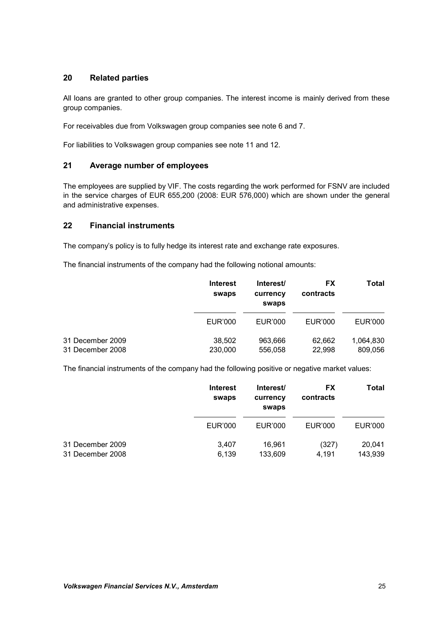### **20 Related parties**

All loans are granted to other group companies. The interest income is mainly derived from these group companies.

For receivables due from Volkswagen group companies see note 6 and 7.

For liabilities to Volkswagen group companies see note 11 and 12.

### **21 Average number of employees**

The employees are supplied by VIF. The costs regarding the work performed for FSNV are included in the service charges of EUR 655,200 (2008: EUR 576,000) which are shown under the general and administrative expenses.

### **22 Financial instruments**

The company's policy is to fully hedge its interest rate and exchange rate exposures.

The financial instruments of the company had the following notional amounts:

|                                      | <b>Interest</b><br>swaps | Interest/<br>currency<br>swaps | <b>FX</b><br>contracts | Total                |
|--------------------------------------|--------------------------|--------------------------------|------------------------|----------------------|
|                                      | EUR'000                  | EUR'000                        | EUR'000                | EUR'000              |
| 31 December 2009<br>31 December 2008 | 38,502<br>230,000        | 963,666<br>556,058             | 62,662<br>22,998       | 1,064,830<br>809,056 |

The financial instruments of the company had the following positive or negative market values:

|                  | <b>Interest</b><br>swaps | Interest/<br>currency<br>swaps | <b>FX</b><br>contracts | Total   |
|------------------|--------------------------|--------------------------------|------------------------|---------|
|                  | EUR'000                  | EUR'000                        | EUR'000                | EUR'000 |
| 31 December 2009 | 3.407                    | 16.961                         | (327)                  | 20,041  |
| 31 December 2008 | 6,139                    | 133,609                        | 4,191                  | 143.939 |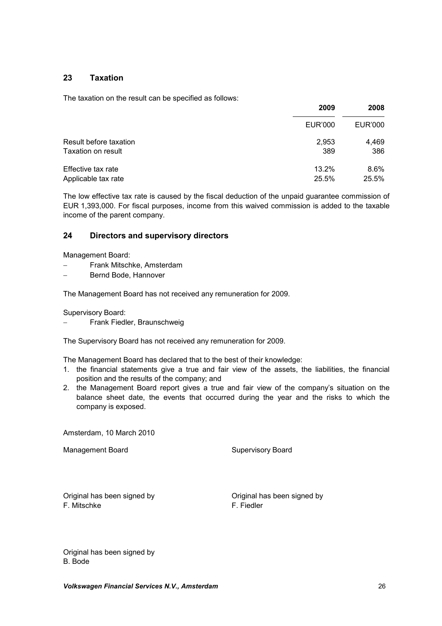### **23 Taxation**

The taxation on the result can be specified as follows:

|                        | 2009    | 2008    |
|------------------------|---------|---------|
|                        | EUR'000 | EUR'000 |
| Result before taxation | 2,953   | 4,469   |
| Taxation on result     | 389     | 386     |
| Effective tax rate     | 13.2%   | $8.6\%$ |
| Applicable tax rate    | 25.5%   | 25.5%   |

The low effective tax rate is caused by the fiscal deduction of the unpaid guarantee commission of EUR 1,393,000. For fiscal purposes, income from this waived commission is added to the taxable income of the parent company.

### **24 Directors and supervisory directors**

Management Board:

- Frank Mitschke, Amsterdam
- Bernd Bode, Hannover

The Management Board has not received any remuneration for 2009.

Supervisory Board:

Frank Fiedler, Braunschweig

The Supervisory Board has not received any remuneration for 2009.

The Management Board has declared that to the best of their knowledge:

- 1. the financial statements give a true and fair view of the assets, the liabilities, the financial position and the results of the company; and
- 2. the Management Board report gives a true and fair view of the company's situation on the balance sheet date, the events that occurred during the year and the risks to which the company is exposed.

Amsterdam, 10 March 2010

Management Board **Supervisory Board** Supervisory Board

Original has been signed by Original has been signed by F. Mitschke F. Fiedler

Original has been signed by B. Bode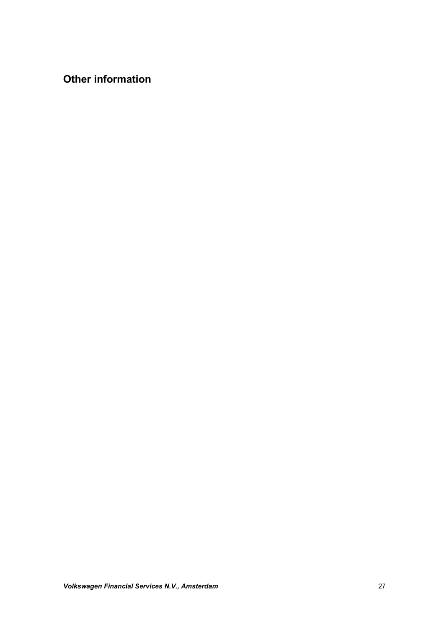**Other information**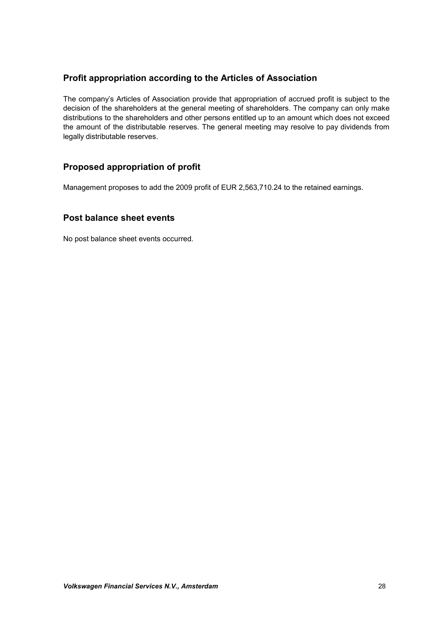# **Profit appropriation according to the Articles of Association**

The company's Articles of Association provide that appropriation of accrued profit is subject to the decision of the shareholders at the general meeting of shareholders. The company can only make distributions to the shareholders and other persons entitled up to an amount which does not exceed the amount of the distributable reserves. The general meeting may resolve to pay dividends from legally distributable reserves.

# **Proposed appropriation of profit**

Management proposes to add the 2009 profit of EUR 2,563,710.24 to the retained earnings.

# **Post balance sheet events**

No post balance sheet events occurred.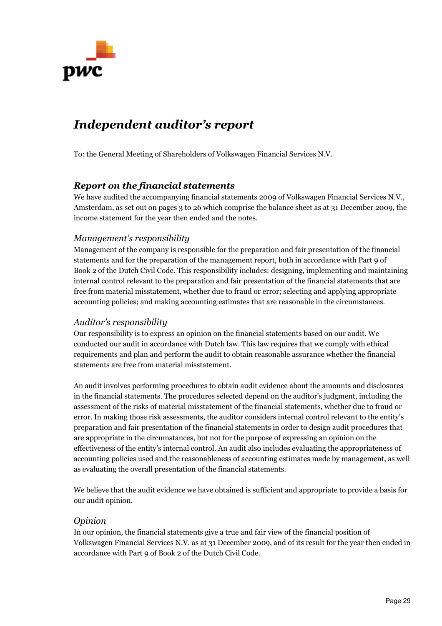

# *Independent auditor's report*

To: the General Meeting of Shareholders of Volkswagen Financial Services N.V.

# *Report on the financial statements*

We have audited the accompanying financial statements 2009 of Volkswagen Financial Services N.V., Amsterdam, as set out on pages 3 to 26 which comprise the balance sheet as at 31 December 2009, the income statement for the year then ended and the notes.

# *Management's responsibility*

Management of the company is responsible for the preparation and fair presentation of the financial statements and for the preparation of the management report, both in accordance with Part 9 of Book 2 of the Dutch Civil Code. This responsibility includes: designing, implementing and maintaining internal control relevant to the preparation and fair presentation of the financial statements that are free from material misstatement, whether due to fraud or error; selecting and applying appropriate accounting policies; and making accounting estimates that are reasonable in the circumstances.

# *Auditor's responsibility*

Our responsibility is to express an opinion on the financial statements based on our audit. We conducted our audit in accordance with Dutch law. This law requires that we comply with ethical requirements and plan and perform the audit to obtain reasonable assurance whether the financial statements are free from material misstatement.

An audit involves performing procedures to obtain audit evidence about the amounts and disclosures in the financial statements. The procedures selected depend on the auditor's judgment, including the assessment of the risks of material misstatement of the financial statements, whether due to fraud or error. In making those risk assessments, the auditor considers internal control relevant to the entity's preparation and fair presentation of the financial statements in order to design audit procedures that are appropriate in the circumstances, but not for the purpose of expressing an opinion on the effectiveness of the entity's internal control. An audit also includes evaluating the appropriateness of accounting policies used and the reasonableness of accounting estimates made by management, as well as evaluating the overall presentation of the financial statements.

We believe that the audit evidence we have obtained is sufficient and appropriate to provide a basis for our audit opinion.

### *Opinion*

In our opinion, the financial statements give a true and fair view of the financial position of Volkswagen Financial Services N.V. as at 31 December 2009, and of its result for the year then ended in accordance with Part 9 of Book 2 of the Dutch Civil Code.